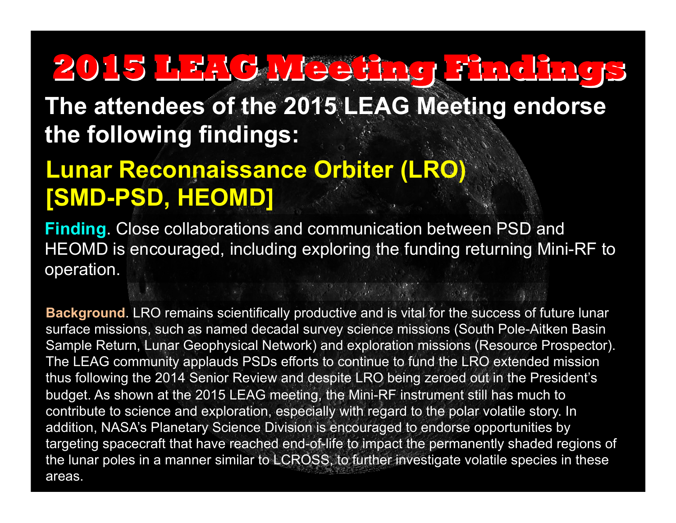**The attendees of the 2015 LEAG Meeting endorse the following findings:** 

### **Lunar Reconnaissance Orbiter (LRO) [SMD-PSD, HEOMD]**

**Finding**. Close collaborations and communication between PSD and HEOMD is encouraged, including exploring the funding returning Mini-RF to operation.

**Background**. LRO remains scientifically productive and is vital for the success of future lunar surface missions, such as named decadal survey science missions (South Pole-Aitken Basin Sample Return, Lunar Geophysical Network) and exploration missions (Resource Prospector). The LEAG community applauds PSDs efforts to continue to fund the LRO extended mission thus following the 2014 Senior Review and despite LRO being zeroed out in the President's budget. As shown at the 2015 LEAG meeting, the Mini-RF instrument still has much to contribute to science and exploration, especially with regard to the polar volatile story. In addition, NASA's Planetary Science Division is encouraged to endorse opportunities by targeting spacecraft that have reached end-of-life to impact the permanently shaded regions of the lunar poles in a manner similar to LCROSS, to further investigate volatile species in these areas.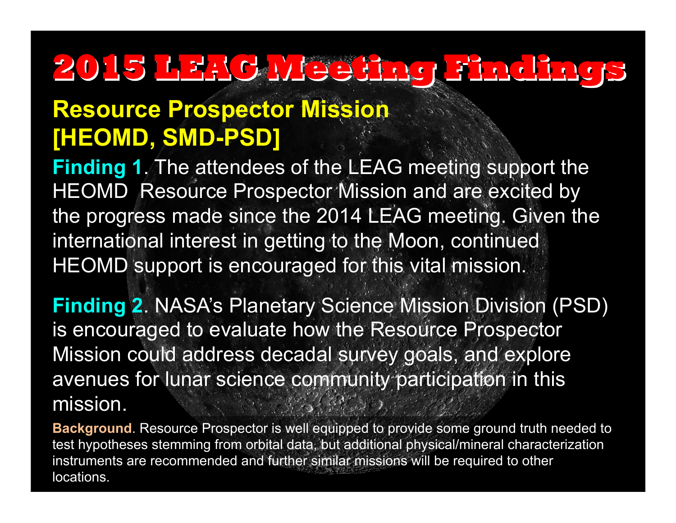#### **Resource Prospector Mission [HEOMD, SMD-PSD]**

**Finding 1**. The attendees of the LEAG meeting support the HEOMD Resource Prospector Mission and are excited by the progress made since the 2014 LEAG meeting. Given the international interest in getting to the Moon, continued HEOMD support is encouraged for this vital mission.

**Finding 2**. NASA's Planetary Science Mission Division (PSD) is encouraged to evaluate how the Resource Prospector Mission could address decadal survey goals, and explore avenues for lunar science community participation in this mission.

**Background**. Resource Prospector is well equipped to provide some ground truth needed to test hypotheses stemming from orbital data, but additional physical/mineral characterization instruments are recommended and further similar missions will be required to other locations.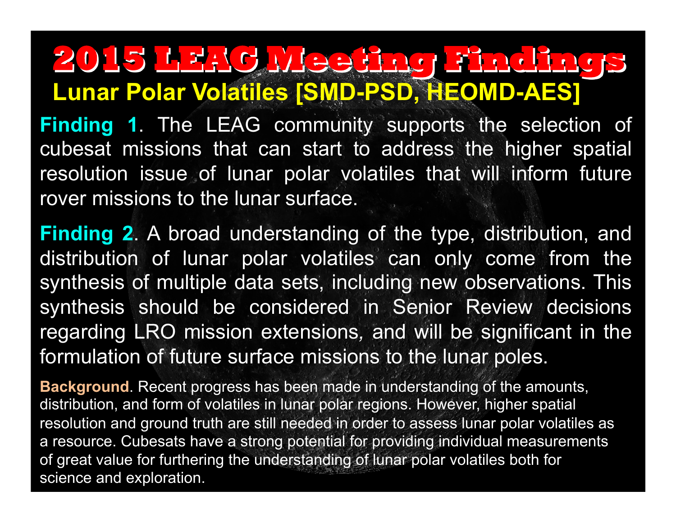## **Lunar Polar Volatiles [SMD-PSD, HEOMD-AES] 2015 LEAG Meeting Findings**

**Finding 1**. The LEAG community supports the selection of cubesat missions that can start to address the higher spatial resolution issue of lunar polar volatiles that will inform future rover missions to the lunar surface.

**Finding 2**. A broad understanding of the type, distribution, and distribution of lunar polar volatiles can only come from the synthesis of multiple data sets, including new observations. This synthesis should be considered in Senior Review decisions regarding LRO mission extensions*,* and will be significant in the formulation of future surface missions to the lunar poles.

**Background**. Recent progress has been made in understanding of the amounts, distribution, and form of volatiles in lunar polar regions. However, higher spatial resolution and ground truth are still needed in order to assess lunar polar volatiles as a resource. Cubesats have a strong potential for providing individual measurements of great value for furthering the understanding of lunar polar volatiles both for science and exploration.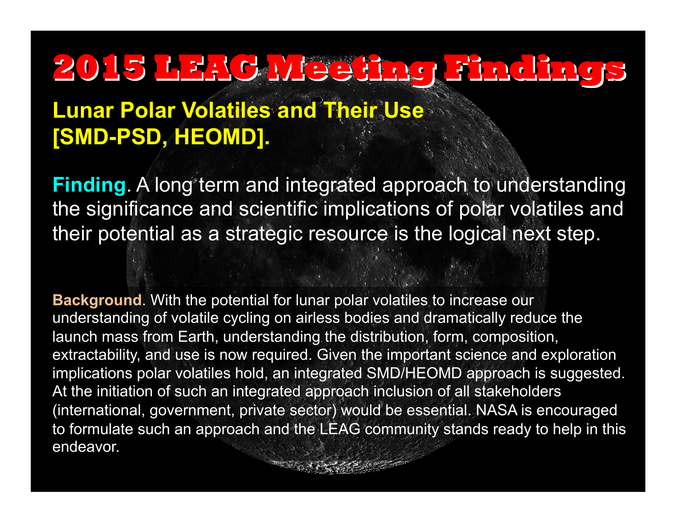#### **Lunar Polar Volatiles and Their Use [SMD-PSD, HEOMD].**

**Finding**. A long term and integrated approach to understanding the significance and scientific implications of polar volatiles and their potential as a strategic resource is the logical next step.

**Background**. With the potential for lunar polar volatiles to increase our understanding of volatile cycling on airless bodies and dramatically reduce the launch mass from Earth, understanding the distribution, form, composition, extractability, and use is now required. Given the important science and exploration implications polar volatiles hold, an integrated SMD/HEOMD approach is suggested. At the initiation of such an integrated approach inclusion of all stakeholders (international, government, private sector) would be essential. NASA is encouraged to formulate such an approach and the LEAG community stands ready to help in this endeavor.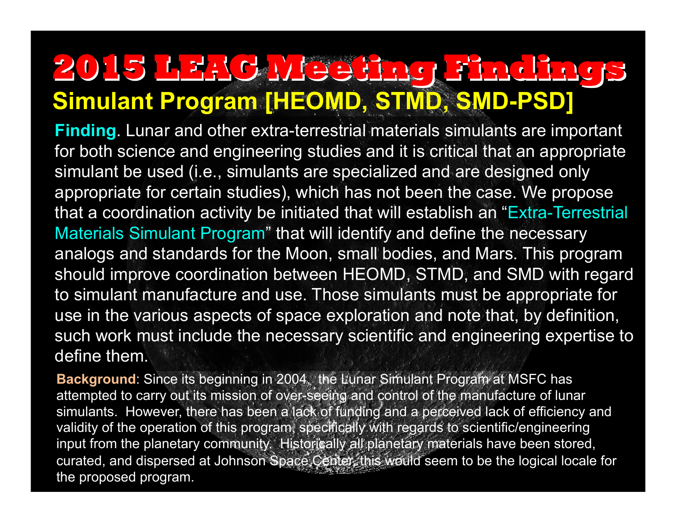## **Simulant Program [HEOMD, STMD, SMD-PSD] 2015 LEAG Meeting Findings**

**Finding**. Lunar and other extra-terrestrial materials simulants are important for both science and engineering studies and it is critical that an appropriate simulant be used (i.e., simulants are specialized and are designed only appropriate for certain studies), which has not been the case. We propose that a coordination activity be initiated that will establish an "Extra-Terrestrial Materials Simulant Program" that will identify and define the necessary analogs and standards for the Moon, small bodies, and Mars. This program should improve coordination between HEOMD, STMD, and SMD with regard to simulant manufacture and use. Those simulants must be appropriate for use in the various aspects of space exploration and note that, by definition, such work must include the necessary scientific and engineering expertise to define them.

**Background:** Since its beginning in 2004, the Lunar Simulant Program at MSFC has attempted to carry out its mission of over-seeing and control of the manufacture of lunar simulants. However, there has been a lack of funding and a perceived lack of efficiency and validity of the operation of this program, specifically with regards to scientific/engineering input from the planetary community. Historically all planetary materials have been stored, curated, and dispersed at Johnson Space Center, this would seem to be the logical locale for the proposed program.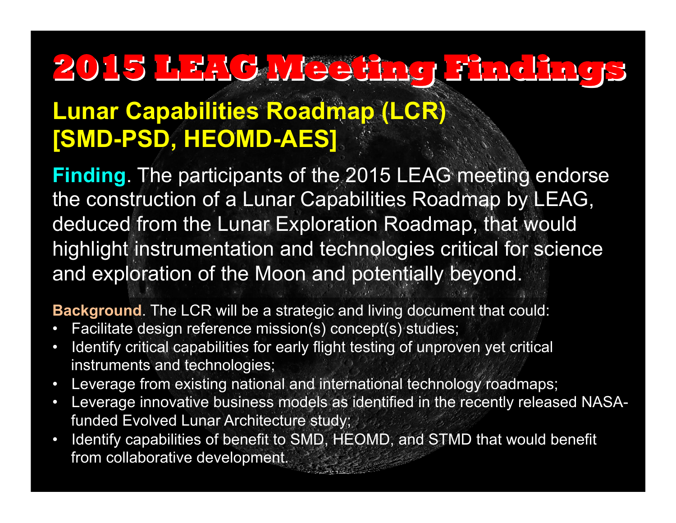#### **Lunar Capabilities Roadmap (LCR) [SMD-PSD, HEOMD-AES]**

**Finding**. The participants of the 2015 LEAG meeting endorse the construction of a Lunar Capabilities Roadmap by LEAG, deduced from the Lunar Exploration Roadmap, that would highlight instrumentation and technologies critical for science and exploration of the Moon and potentially beyond.

**Background**. The LCR will be a strategic and living document that could:

- Facilitate design reference mission(s) concept(s) studies;
- Identify critical capabilities for early flight testing of unproven yet critical instruments and technologies;
- Leverage from existing national and international technology roadmaps;
- Leverage innovative business models as identified in the recently released NASAfunded Evolved Lunar Architecture study;
- Identify capabilities of benefit to SMD, HEOMD, and STMD that would benefit from collaborative development.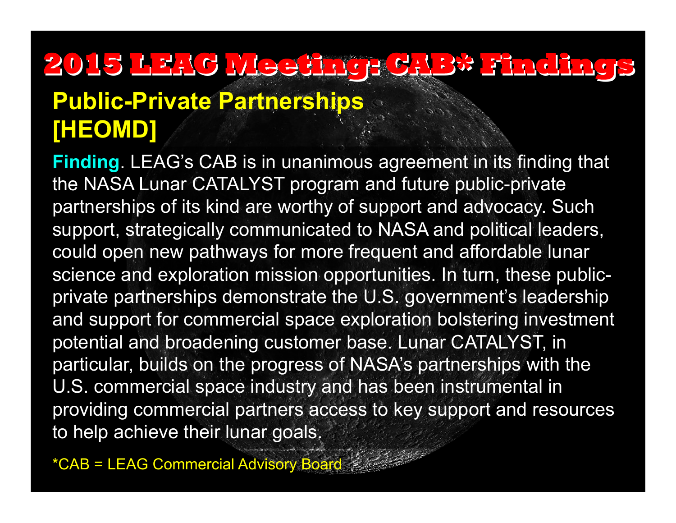## **2015 LEAG Meeting: CAB\* Findings Public-Private Partnerships [HEOMD]**

**Finding**. LEAG's CAB is in unanimous agreement in its finding that the NASA Lunar CATALYST program and future public-private partnerships of its kind are worthy of support and advocacy. Such support, strategically communicated to NASA and political leaders, could open new pathways for more frequent and affordable lunar science and exploration mission opportunities. In turn, these publicprivate partnerships demonstrate the U.S. government's leadership and support for commercial space exploration bolstering investment potential and broadening customer base. Lunar CATALYST, in particular, builds on the progress of NASA's partnerships with the U.S. commercial space industry and has been instrumental in providing commercial partners access to key support and resources to help achieve their lunar goals.

\*CAB = LEAG Commercial Advisory Board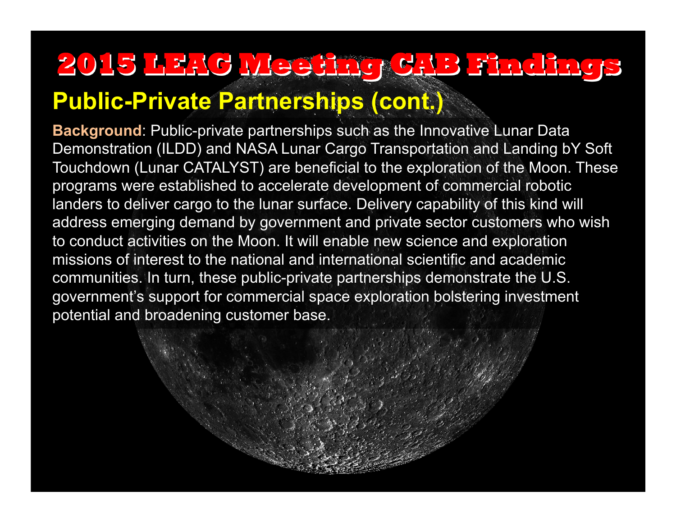#### **Public-Private Partnerships (cont.)**

**Background**: Public-private partnerships such as the Innovative Lunar Data Demonstration (ILDD) and NASA Lunar Cargo Transportation and Landing bY Soft Touchdown (Lunar CATALYST) are beneficial to the exploration of the Moon. These programs were established to accelerate development of commercial robotic landers to deliver cargo to the lunar surface. Delivery capability of this kind will address emerging demand by government and private sector customers who wish to conduct activities on the Moon. It will enable new science and exploration missions of interest to the national and international scientific and academic communities. In turn, these public-private partnerships demonstrate the U.S. government's support for commercial space exploration bolstering investment potential and broadening customer base.